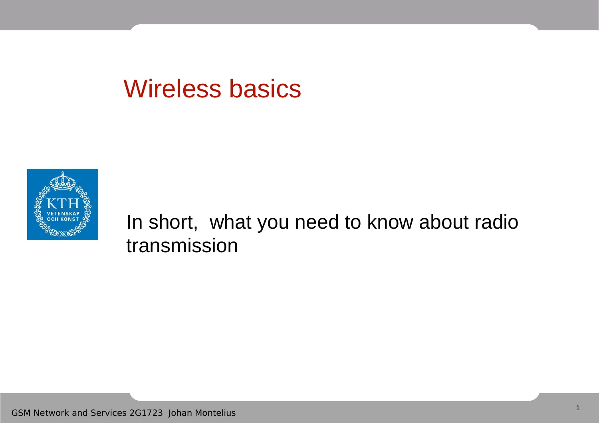#### Wireless basics



In short, what you need to know about radio transmission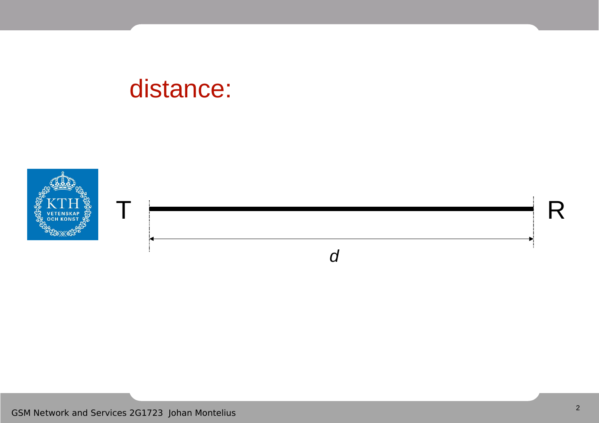#### distance:

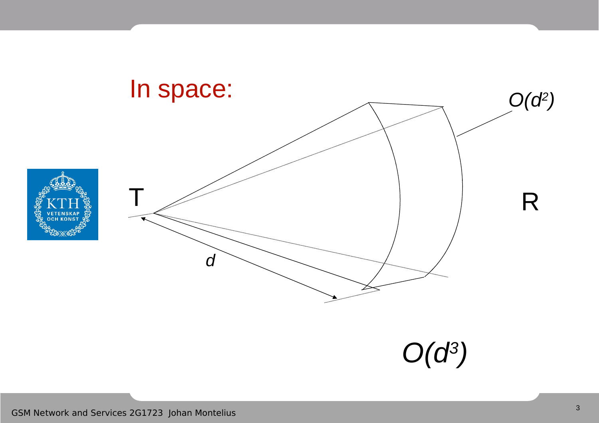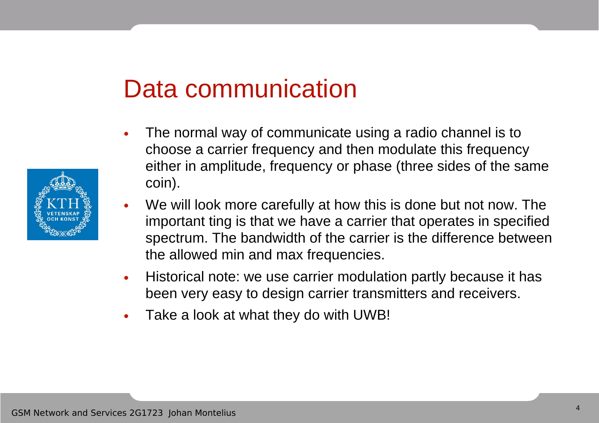#### Data communication

- The normal way of communicate using a radio channel is to choose a carrier frequency and then modulate this frequency either in amplitude, frequency or phase (three sides of the same coin).
- We will look more carefully at how this is done but not now. The important ting is that we have a carrier that operates in specified spectrum. The bandwidth of the carrier is the difference between the allowed min and max frequencies.
- Historical note: we use carrier modulation partly because it has been very easy to design carrier transmitters and receivers.
- Take a look at what they do with UWB!

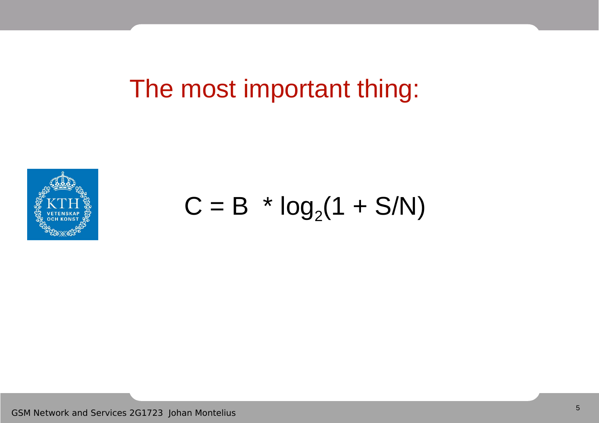The most important thing:



 $C = B * log<sub>2</sub>(1 + S/N)$ 

GSM Network and Services 2G1723 Johan Montelius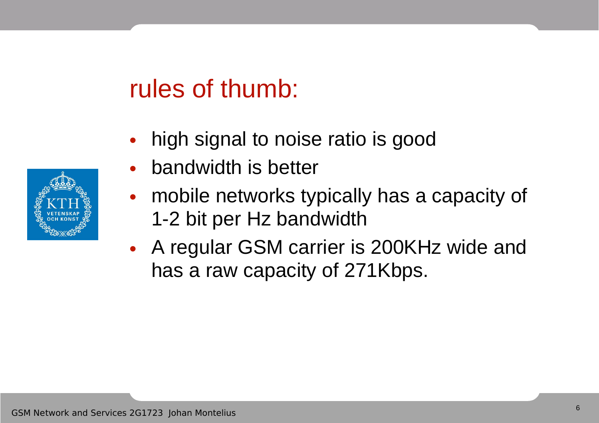#### rules of thumb:

- high signal to noise ratio is good
- bandwidth is better
- mobile networks typically has a capacity of 1-2 bit per Hz bandwidth
- A regular GSM carrier is 200KHz wide and has a raw capacity of 271Kbps.

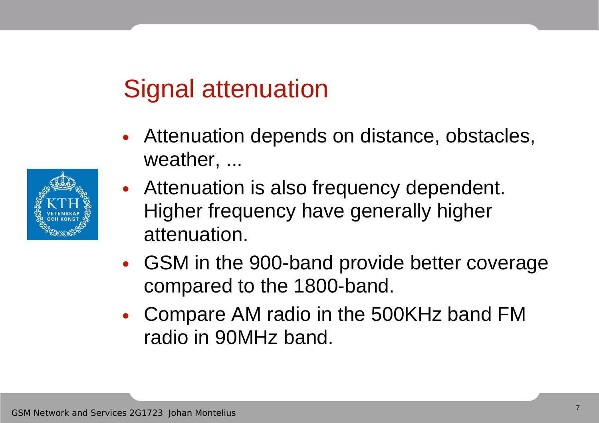# Signal attenuation

- Attenuation depends on distance, obstacles, weather, ...
- Attenuation is also frequency dependent. Higher frequency have generally higher attenuation.
- GSM in the 900-band provide better coverage compared to the 1800-band.
- Compare AM radio in the 500KHz band FM radio in 90MHz band.

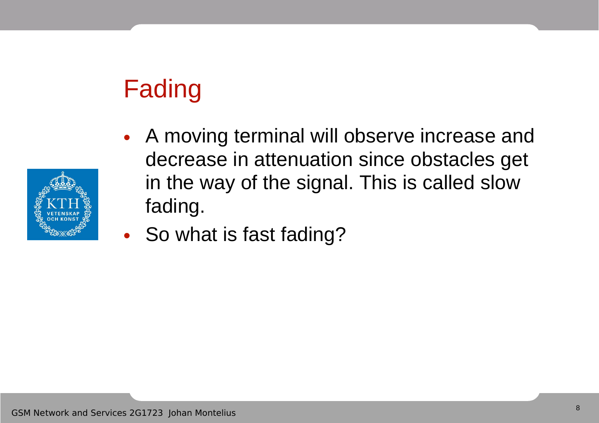# Fading



- A moving terminal will observe increase and decrease in attenuation since obstacles get in the way of the signal. This is called slow fading.
- So what is fast fading?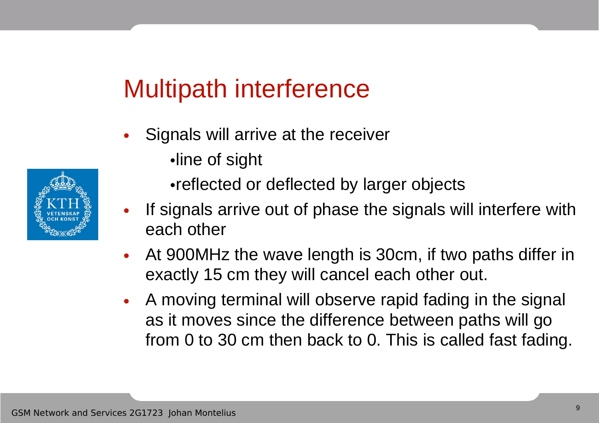# Multipath interference

- Signals will arrive at the receiver
	- •line of sight
	- •reflected or deflected by larger objects
- If signals arrive out of phase the signals will interfere with each other
- At 900MHz the wave length is 30cm, if two paths differ in exactly 15 cm they will cancel each other out.
- A moving terminal will observe rapid fading in the signal as it moves since the difference between paths will go from 0 to 30 cm then back to 0. This is called fast fading.

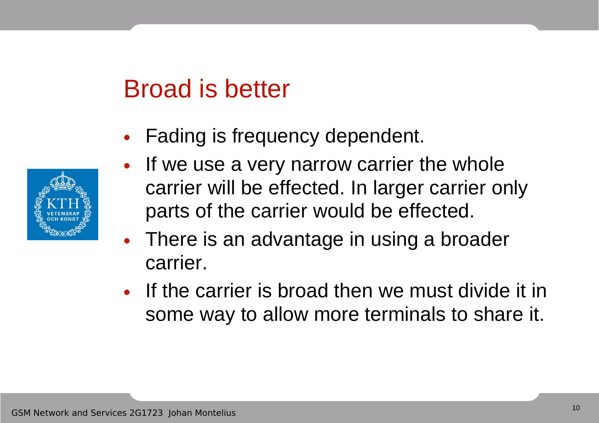### Broad is better

• Fading is frequency dependent.



- If we use a very narrow carrier the whole carrier will be effected. In larger carrier only parts of the carrier would be effected.
- There is an advantage in using a broader carrier.
- If the carrier is broad then we must divide it in some way to allow more terminals to share it.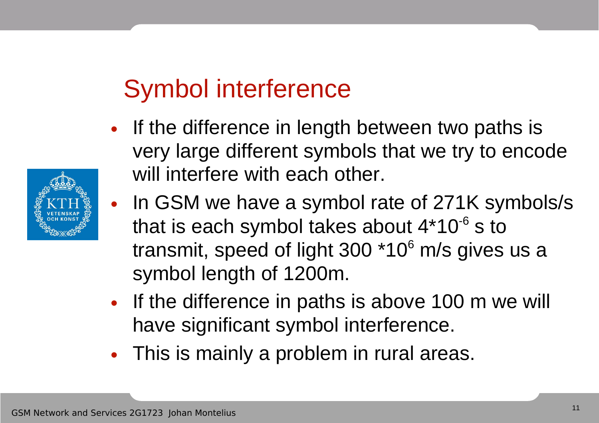# Symbol interference

- If the difference in length between two paths is very large different symbols that we try to encode will interfere with each other.
- In GSM we have a symbol rate of 271K symbols/s that is each symbol takes about  $4*10^{-6}$  s to transmit, speed of light 300 \*10<sup>6</sup> m/s gives us a symbol length of 1200m.
- If the difference in paths is above 100 m we will have significant symbol interference.
- This is mainly a problem in rural areas.

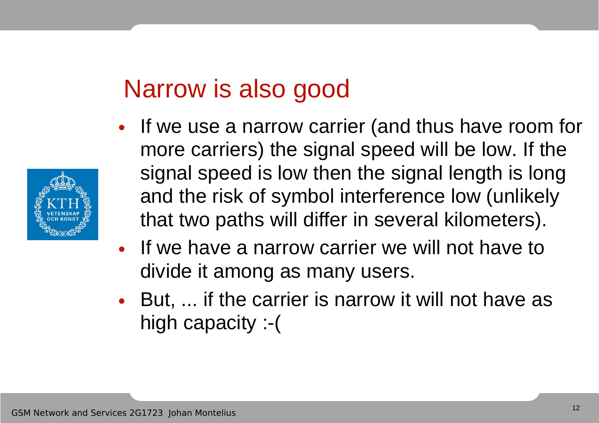### Narrow is also good

- If we use a narrow carrier (and thus have room for more carriers) the signal speed will be low. If the signal speed is low then the signal length is long and the risk of symbol interference low (unlikely that two paths will differ in several kilometers).
- If we have a narrow carrier we will not have to divide it among as many users.
- But, ... if the carrier is narrow it will not have as high capacity :-(

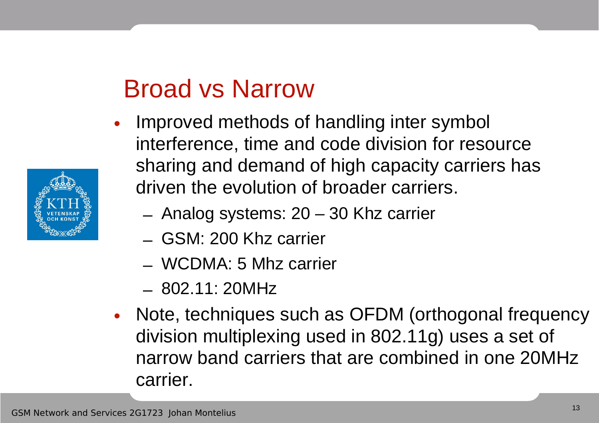# Broad vs Narrow

- Improved methods of handling inter symbol interference, time and code division for resource sharing and demand of high capacity carriers has driven the evolution of broader carriers.
	- Analog systems: 20 30 Khz carrier
	- GSM: 200 Khz carrier
	- WCDMA: 5 Mhz carrier
	- 802.11: 20MHz
- Note, techniques such as OFDM (orthogonal frequency division multiplexing used in 802.11g) uses a set of narrow band carriers that are combined in one 20MHz carrier.